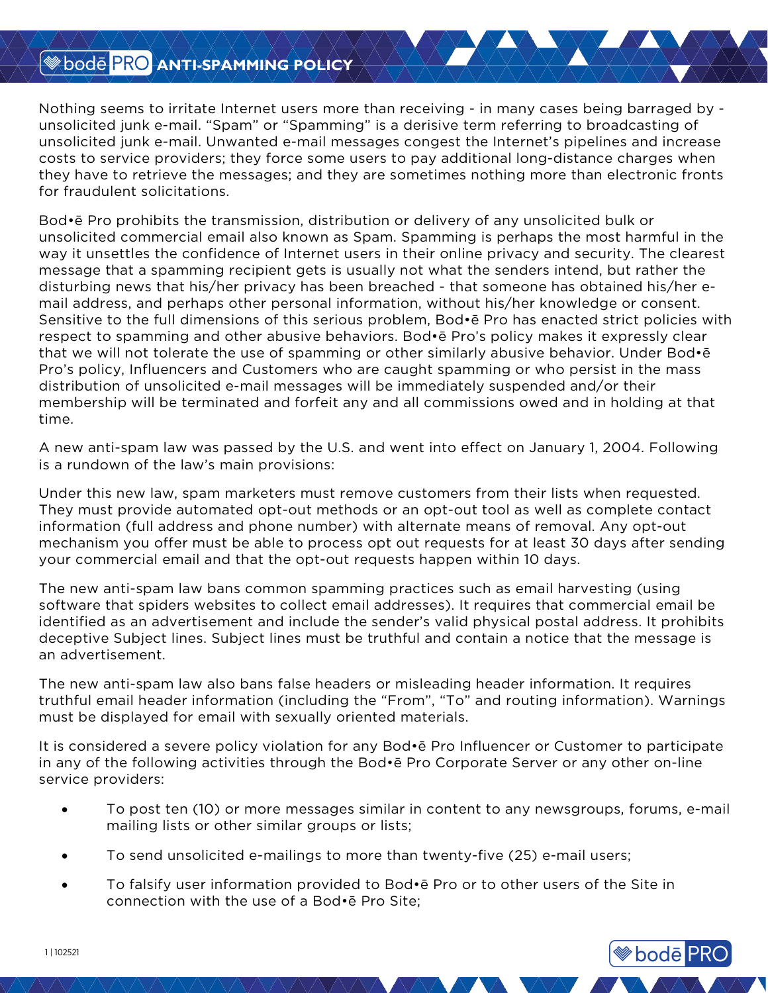## **BOOT PRO ANTI-SPAMMING POLICY**

Nothing seems to irritate Internet users more than receiving - in many cases being barraged by unsolicited junk e-mail. "Spam" or "Spamming" is a derisive term referring to broadcasting of unsolicited junk e-mail. Unwanted e-mail messages congest the Internet's pipelines and increase costs to service providers; they force some users to pay additional long-distance charges when they have to retrieve the messages; and they are sometimes nothing more than electronic fronts for fraudulent solicitations.

Bod•ē Pro prohibits the transmission, distribution or delivery of any unsolicited bulk or unsolicited commercial email also known as Spam. Spamming is perhaps the most harmful in the way it unsettles the confidence of Internet users in their online privacy and security. The clearest message that a spamming recipient gets is usually not what the senders intend, but rather the disturbing news that his/her privacy has been breached - that someone has obtained his/her email address, and perhaps other personal information, without his/her knowledge or consent. Sensitive to the full dimensions of this serious problem, Bod•ē Pro has enacted strict policies with respect to spamming and other abusive behaviors. Bod•ē Pro's policy makes it expressly clear that we will not tolerate the use of spamming or other similarly abusive behavior. Under Bod•ē Pro's policy, Influencers and Customers who are caught spamming or who persist in the mass distribution of unsolicited e-mail messages will be immediately suspended and/or their membership will be terminated and forfeit any and all commissions owed and in holding at that time.

A new anti-spam law was passed by the U.S. and went into effect on January 1, 2004. Following is a rundown of the law's main provisions:

Under this new law, spam marketers must remove customers from their lists when requested. They must provide automated opt-out methods or an opt-out tool as well as complete contact information (full address and phone number) with alternate means of removal. Any opt-out mechanism you offer must be able to process opt out requests for at least 30 days after sending your commercial email and that the opt-out requests happen within 10 days.

The new anti-spam law bans common spamming practices such as email harvesting (using software that spiders websites to collect email addresses). It requires that commercial email be identified as an advertisement and include the sender's valid physical postal address. It prohibits deceptive Subject lines. Subject lines must be truthful and contain a notice that the message is an advertisement.

The new anti-spam law also bans false headers or misleading header information. It requires truthful email header information (including the "From", "To" and routing information). Warnings must be displayed for email with sexually oriented materials.

It is considered a severe policy violation for any Bod•ē Pro Influencer or Customer to participate in any of the following activities through the Bod•ē Pro Corporate Server or any other on-line service providers:

• To post ten (10) or more messages similar in content to any newsgroups, forums, e-mail mailing lists or other similar groups or lists;

**<sup>●</sup>bode</mark> PRO** 

- To send unsolicited e-mailings to more than twenty-five (25) e-mail users;
- To falsify user information provided to Bod•ē Pro or to other users of the Site in connection with the use of a Bod•ē Pro Site;